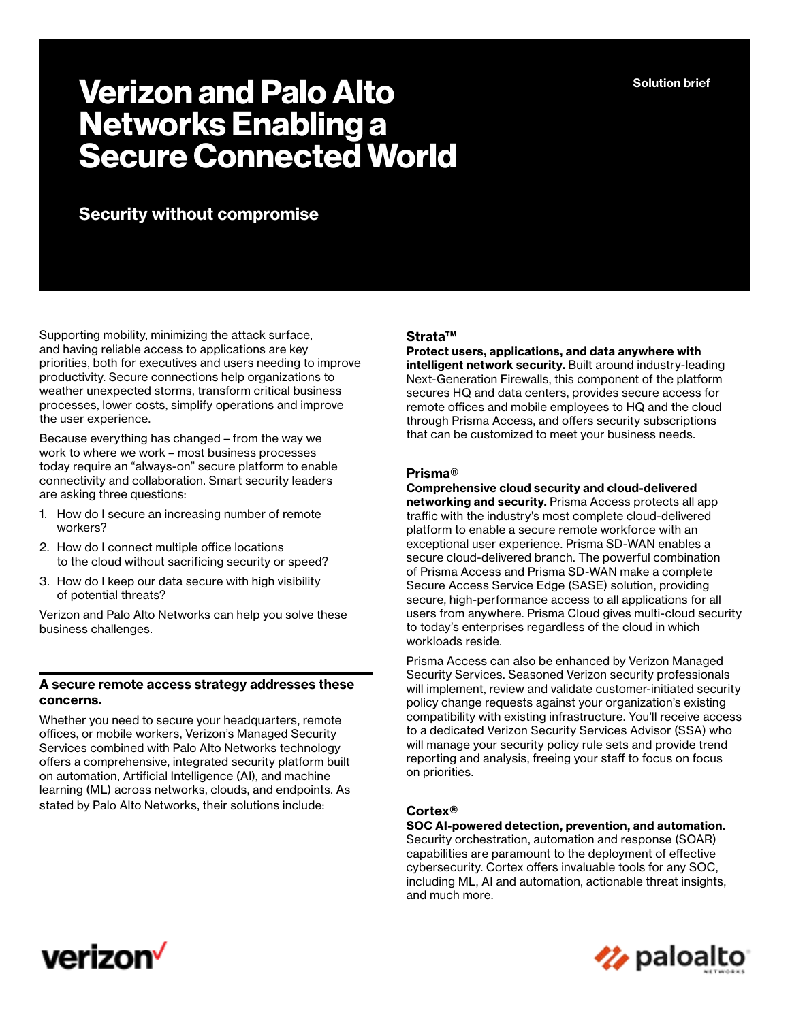**Solution brief**

# **Verizon and Palo Alto Networks Enabling a Secure Connected World**

# **Security without compromise**

Supporting mobility, minimizing the attack surface, and having reliable access to applications are key priorities, both for executives and users needing to improve productivity. Secure connections help organizations to weather unexpected storms, transform critical business processes, lower costs, simplify operations and improve the user experience.

Because everything has changed – from the way we work to where we work – most business processes today require an "always-on" secure platform to enable connectivity and collaboration. Smart security leaders are asking three questions:

- 1. How do I secure an increasing number of remote workers?
- 2. How do I connect multiple office locations to the cloud without sacrificing security or speed?
- 3. How do I keep our data secure with high visibility of potential threats?

Verizon and Palo Alto Networks can help you solve these business challenges.

#### **A secure remote access strategy addresses these concerns.**

Whether you need to secure your headquarters, remote offices, or mobile workers, Verizon's Managed Security Services combined with Palo Alto Networks technology offers a comprehensive, integrated security platform built on automation, Artificial Intelligence (AI), and machine learning (ML) across networks, clouds, and endpoints. As stated by Palo Alto Networks, their solutions include:

#### **Strata™**

**Protect users, applications, and data anywhere with intelligent network security.** Built around industry-leading Next-Generation Firewalls, this component of the platform secures HQ and data centers, provides secure access for remote offices and mobile employees to HQ and the cloud through Prisma Access, and offers security subscriptions that can be customized to meet your business needs.

#### **Prisma®**

#### **Comprehensive cloud security and cloud-delivered**

**networking and security.** Prisma Access protects all app traffic with the industry's most complete cloud-delivered platform to enable a secure remote workforce with an exceptional user experience. Prisma SD-WAN enables a secure cloud-delivered branch. The powerful combination of Prisma Access and Prisma SD-WAN make a complete Secure Access Service Edge (SASE) solution, providing secure, high-performance access to all applications for all users from anywhere. Prisma Cloud gives multi-cloud security to today's enterprises regardless of the cloud in which workloads reside.

Prisma Access can also be enhanced by Verizon Managed Security Services. Seasoned Verizon security professionals will implement, review and validate customer-initiated security policy change requests against your organization's existing compatibility with existing infrastructure. You'll receive access to a dedicated Verizon Security Services Advisor (SSA) who will manage your security policy rule sets and provide trend reporting and analysis, freeing your staff to focus on focus on priorities.

## **Cortex®**

**SOC AI-powered detection, prevention, and automation.**  Security orchestration, automation and response (SOAR) capabilities are paramount to the deployment of effective cybersecurity. Cortex offers invaluable tools for any SOC, including ML, AI and automation, actionable threat insights, and much more.